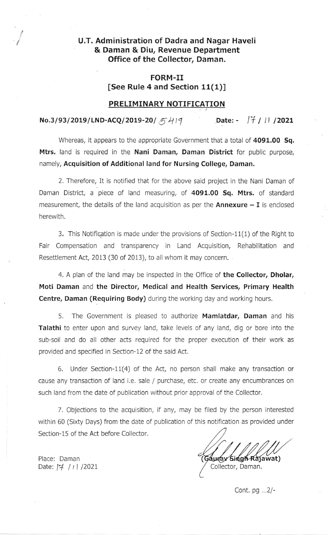# U.T. Administration of Dadra and Nagar Haveli & Daman & Diu, Revenue Department Office of the Collector, Daman.

#### FORM-II [See Rule 4 and Section 11(1)]

#### PRELIMINARY NOTIFICATION

# $No.3/93/2019/LND-ACQ/2019-20/5419$  Date:  $\frac{77}{11}/11/2021$

Whereas, it appears to the appropriate Government that a total of 4091.00 Sq. Mtrs. land is required in the Nani Daman, Daman District for public purpose, namely, Acquisition of Additional land for Nursing College, Daman.

2. Therefore, It is notified that for the above said project in the Nani Daman of Daman District, a piece of land measuring, of 4091.00 Sq. Mtrs. of standard measurement, the details of the land acquisition as per the  $Annexture - I$  is enclosed herewith.

3. This Notifiqation is made under the provisions of Section-11(1) of the Right to Fair Compensation and transparency in Land Acquisition, Rehabilitation and Resettlement Act, 2013 (30 of 2013), to all whom it may concern.

4. A plan of the land may be inspected in the Office of the Collector, Dholar, Moti Daman and the Director, Medical and Health Services, Primary Health Centre, Daman (Requiring Body) during the working day and working hours.

5. The Government is pleased to authorize Mamlatdar, Daman and his **Talathi** to enter upon and survey land, take levels of any land, dig or bore into the sub-soil and do all other acts required for the proper execution of their work as provided and specifled in Section-12 oF the said Act.

6. Under Section-11(4) of the Act, no person shall make any transaction or cause any transaction of land i.e. sale / purchase, etc. or create any encumbrances on such land from the date of publication without prior approval of the Collector.

7. Objections to the acquisition, if any, may be filed by the person interested within 60 (Sixty Days) from the date of publication of this notification as provided under Section-15 of the Act before Collector.

Gauray Singh Rajawat) Collector, Daman.

Place: Daman Date:  $\frac{1}{7}$  / 1 / 2021

/

Cont.  $pg$  ... $2/-$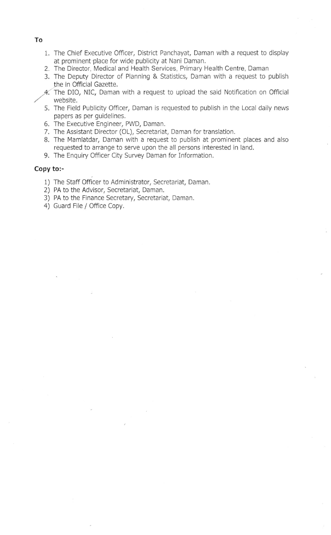- 1. The Chief Executive Officer, District Panchayat, Daman with a request to display at prominent'place for wide publicity at Nani Daman.
- 2. The Director, Medical and Health Services, Primary Health Centre, Daman
- 3. The Deputy Director of Planning & Statistics, Daman with a request to publish the in Official Gazette.
- A. The DIO, NIC, Daman with a request to upload the said Notification on Official website.
- 5. The Field Publicity Officer, Daman is requested to publish in the Local daily news papers as per guidelines.
- 6. The Executive Engineer, PWD, Daman.
- 7. The Assistant Director (OL), Secretariat, Daman for translation.
- B. The Mamlatdar, Daman with a request to publish at prominent places and also requested to arrange to serve upon the all persons interested in land.
- 9. The Enquiry Officer City Survey Daman for Information.

#### Copy to:-

- 1) The Staff Officer to Administrator, Secretariat, Daman.
- 2) PA to the Advisor, Secretariat, Daman.
- 3) PA to the Finance Secretary, Secretariat, Daman.
- 4) Guard File / Office Copy.